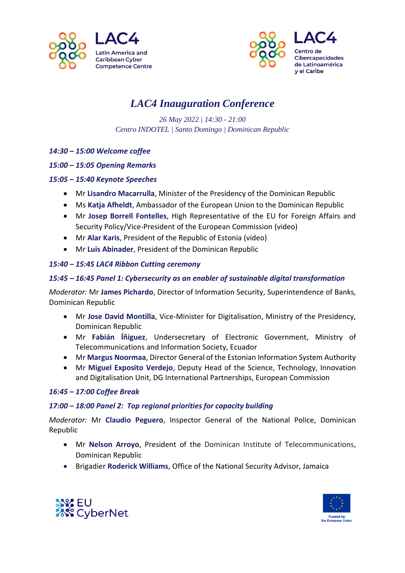



# *LAC4 Inauguration Conference*

*26 May 2022 | 14:30 - 21:00 Centro INDOTEL | Santo Domingo | Dominican Republic*

*14:30 – 15:00 Welcome coffee*

#### *15:00 – 15:05 Opening Remarks*

#### *15:05 – 15:40 Keynote Speeches*

- Mr **Lisandro Macarrulla**, Minister of the Presidency of the Dominican Republic
- Ms **Katja Afheldt**, Ambassador of the European Union to the Dominican Republic
- Mr **Josep Borrell Fontelles**, High Representative of the EU for Foreign Affairs and Security Policy/Vice-President of the European Commission (video)
- Mr **Alar Karis**, President of the Republic of Estonia (video)
- Mr **Luis Abinader**, President of the Dominican Republic

#### *15:40 – 15:45 LAC4 Ribbon Cutting ceremony*

#### *15:45 – 16:45 Panel 1: Cybersecurity as an enabler of sustainable digital transformation*

*Moderator:* Mr **James Pichardo**, Director of Information Security, Superintendence of Banks, Dominican Republic

- Mr **Jose David Montilla**, Vice-Minister for Digitalisation, Ministry of the Presidency, Dominican Republic
- Mr **Fabián Íñiguez**, Undersecretary of Electronic Government, Ministry of Telecommunications and Information Society, Ecuador
- Mr **Margus Noormaa**, Director General of the Estonian Information System Authority
- Mr **Miguel Exposito Verdejo**, Deputy Head of the Science, Technology, Innovation and Digitalisation Unit, DG International Partnerships, European Commission

#### *16:45 – 17:00 Coffee Break*

#### *17:00 – 18:00 Panel 2: Top regional priorities for capacity building*

*Moderator:* Mr **Claudio Peguero**, Inspector General of the National Police, Dominican Republic

- Mr **Nelson Arroyo**, President of the Dominican Institute of Telecommunications, Dominican Republic
- Brigadier **Roderick Williams**, Office of the National Security Advisor, Jamaica



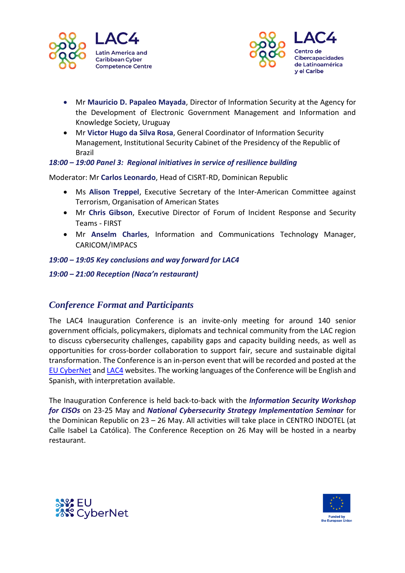



- Mr **Mauricio D. Papaleo Mayada**, Director of Information Security at the Agency for the Development of Electronic Government Management and Information and Knowledge Society, Uruguay
- Mr **Victor Hugo da Silva Rosa**, General Coordinator of Information Security Management, Institutional Security Cabinet of the Presidency of the Republic of Brazil

#### *18:00 – 19:00 Panel 3: Regional initiatives in service of resilience building*

Moderator: Mr **Carlos Leonardo**, Head of CISRT-RD, Dominican Republic

- Ms **Alison Treppel**, Executive Secretary of the Inter-American Committee against Terrorism, Organisation of American States
- Mr **Chris Gibson**, Executive Director of Forum of Incident Response and Security Teams - FIRST
- Mr **Anselm Charles**, Information and Communications Technology Manager, CARICOM/IMPACS

#### *19:00 – 19:05 Key conclusions and way forward for LAC4*

#### *19:00 – 21:00 Reception (Naca'n restaurant)*

### *Conference Format and Participants*

The LAC4 Inauguration Conference is an invite-only meeting for around 140 senior government officials, policymakers, diplomats and technical community from the LAC region to discuss cybersecurity challenges, capability gaps and capacity building needs, as well as opportunities for cross-border collaboration to support fair, secure and sustainable digital transformation. The Conference is an in-person event that will be recorded and posted at the [EU CyberNet](https://www.eucybernet.eu/) and [LAC4](https://www.eucybernet.eu/lac4/) websites. The working languages of the Conference will be English and Spanish, with interpretation available.

The Inauguration Conference is held back-to-back with the *Information Security Workshop for CISOs* on 23-25 May and *National Cybersecurity Strategy Implementation Seminar* for the Dominican Republic on 23 – 26 May. All activities will take place in CENTRO INDOTEL (at Calle Isabel La Católica). The Conference Reception on 26 May will be hosted in a nearby restaurant.



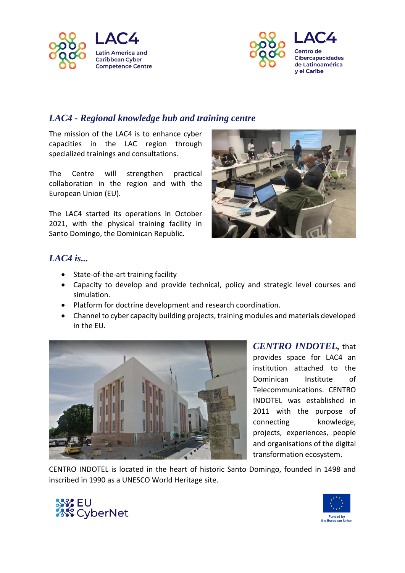



## *LAC4 - Regional knowledge hub and training centre*

The mission of the LAC4 is to enhance cyber capacities in the LAC region through specialized trainings and consultations.

The Centre will strengthen practical collaboration in the region and with the European Union (EU).

The LAC4 started its operations in October 2021, with the physical training facility in Santo Domingo, the Dominican Republic.



### *LAC4 is...*

- State-of-the-art training facility
- Capacity to develop and provide technical, policy and strategic level courses and simulation.
- Platform for doctrine development and research coordination.
- Channel to cyber capacity building projects, training modules and materials developed in the EU.



*CENTRO INDOTEL,* that provides space for LAC4 an institution attached to the Dominican Institute of Telecommunications. CENTRO INDOTEL was established in 2011 with the purpose of connecting knowledge, projects, experiences, people and organisations of the digital transformation ecosystem.

CENTRO INDOTEL is located in the heart of historic Santo Domingo, founded in 1498 and inscribed in 1990 as a UNESCO World Heritage site.